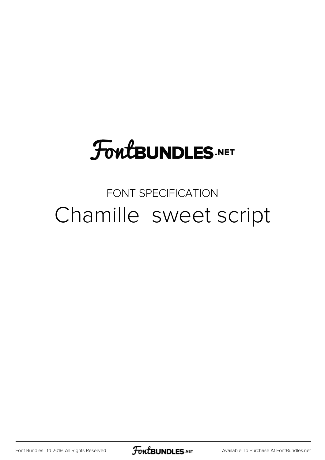# **FoutBUNDLES.NET**

### FONT SPECIFICATION Chamille sweet script

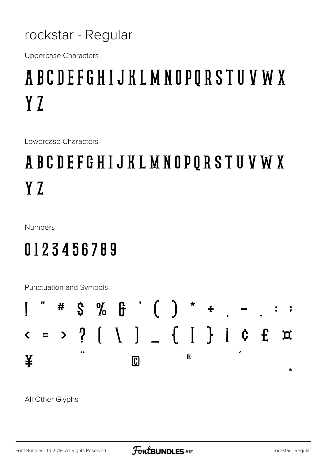#### rockstar - Regular

**Uppercase Characters** 

# ABCDEFGHIJKLMNOPQRSTUVWX Y<sub>Z</sub>

Lowercase Characters

## ABCDEFGHIJKLMNOPQRSTUVWX Y Z

Numbers

## 0123456789

Punctuation and Symbols



All Other Glyphs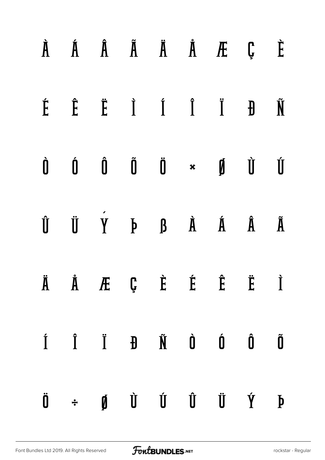|  |  |  | $\dot{A}$ $\dot{A}$ $\ddot{A}$ $\ddot{A}$ $\ddot{A}$ $\ddot{A}$ $\ddot{B}$ $\ddot{C}$ $\ddot{C}$                                                                                                                                                                                                                                                                                                                                                                                             |  |
|--|--|--|----------------------------------------------------------------------------------------------------------------------------------------------------------------------------------------------------------------------------------------------------------------------------------------------------------------------------------------------------------------------------------------------------------------------------------------------------------------------------------------------|--|
|  |  |  | $\begin{array}{ccccccccccccccccc} \hat{E} & \hat{E} & \hat{E} & \hat{I} & \hat{I} & \hat{I} & \hat{I} & \hat{H} & \hat{N} \end{array}$                                                                                                                                                                                                                                                                                                                                                       |  |
|  |  |  | $\begin{matrix} \mathbf{0} & \mathbf{0} & \mathbf{0} & \mathbf{0} & \mathbf{0} & \mathbf{0} & \star & \mathbf{0} & \mathbf{0} & \mathbf{0} & \mathbf{0} & \mathbf{0} & \star & \mathbf{0} & \mathbf{0} & \star & \mathbf{0} & \star & \mathbf{0} & \star & \mathbf{0} & \star & \mathbf{0} & \star & \mathbf{0} & \star & \mathbf{0} & \star & \mathbf{0} & \star & \mathbf{0} & \star & \mathbf{0} & \star & \mathbf{0} & \star & \mathbf{0} & \star & \mathbf{0$                           |  |
|  |  |  | $\begin{array}{ccccccccccccccccc} \hat{\mathbf{U}} & \hat{\mathbf{U}} & \hat{\mathbf{V}} & \hat{\mathbf{V}} & \mathbf{A} & \hat{\mathbf{B}} & \hat{\mathbf{A}} & \hat{\mathbf{A}} & \hat{\mathbf{A}} & \hat{\mathbf{A}} & \hat{\mathbf{A}} & \hat{\mathbf{A}} & \hat{\mathbf{A}} & \hat{\mathbf{A}} & \hat{\mathbf{A}} & \hat{\mathbf{A}} & \hat{\mathbf{A}} & \hat{\mathbf{A}} & \hat{\mathbf{A}} & \hat{\mathbf{A}} & \hat{\mathbf{A}} & \hat{\mathbf{A}} & \hat{\mathbf{A}} & \hat{\math$ |  |
|  |  |  | Ä Å Æ Ç È É Ë Ï                                                                                                                                                                                                                                                                                                                                                                                                                                                                              |  |
|  |  |  | Í Î Ï Đ Ñ Ò Ó Ô Õ                                                                                                                                                                                                                                                                                                                                                                                                                                                                            |  |
|  |  |  | $\ddot{\mathbf{0}}$ $\div$ $\dot{\mathbf{0}}$ $\dot{\mathbf{0}}$ $\dot{\mathbf{0}}$ $\ddot{\mathbf{0}}$ $\ddot{\mathbf{0}}$ $\ddot{\mathbf{0}}$ $\ddot{\mathbf{0}}$ $\ddot{\mathbf{0}}$ $\ddot{\mathbf{0}}$ $\ddot{\mathbf{0}}$ $\ddot{\mathbf{0}}$ $\ddot{\mathbf{0}}$ $\ddot{\mathbf{0}}$ $\ddot{\mathbf{0}}$ $\ddot{\mathbf{0}}$ $\ddot{\mathbf{0}}$ $\ddot{\mathbf{0}}$ $\dd$                                                                                                            |  |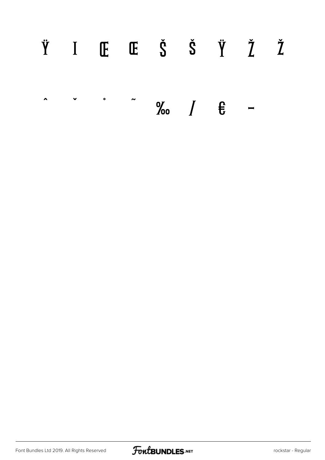#### Ÿ I Œ Œ Š Š Ÿ Ž Ž  $\ddot{\phantom{a}}$  $\bullet$  $\sim$  $\checkmark$  $\%$   $\left.\right$   $\right$   $\frac{1}{5}$   $\leftarrow$

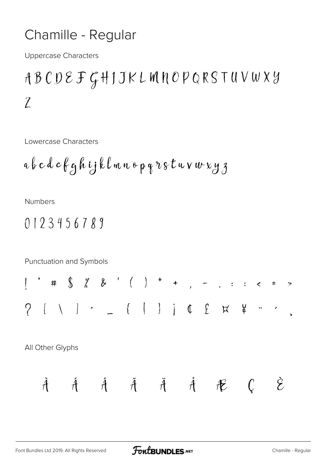#### Chamille - Regular

**Uppercase Characters** 

## ABCDEFGHIJKLMNOPQRSTUVWXY  $\mathcal{Z}$

Lowercase Characters

**Numbers** 

$$
0123456789
$$

Punctuation and Symbols

#  $\int \frac{1}{2}$  /  $\int \frac{1}{2}$  ( ) \* + , - . . . < = >  $[ \quad \backslash \quad ] \quad \widehat{ } \qquad \quad \ \ \, \bot \qquad \ \ \, \{ \quad \ \, | \quad \ \, \} \qquad \ \ \, \mathop{ \, \bullet } \quad \ \ \, \mathop{ \, \, \circ \, \, } \quad \ \ \, \bot \qquad \quad \ \ \, \bot \qquad \quad \ \ \, \bot \qquad \quad \ \ \, \bot \qquad \quad \ \ \, \bot \qquad \quad \ \ \, \bot \qquad \quad \ \ \, \bot \qquad \quad \ \ \, \bot \qquad \quad \ \ \, \bot \qquad \quad \ \ \$  $\gamma$ 

All Other Glyphs

$$
\hat{A} \qquad \hat{A} \qquad \hat{A} \qquad \tilde{A} \qquad \tilde{A} \qquad \hat{A} \qquad \hat{A} \qquad \mathcal{C} \qquad \hat{C}
$$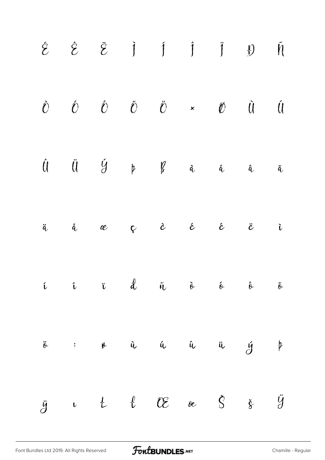|  |  | $\begin{matrix} \hat{\mathcal{O}} & \hat{\mathcal{O}} & \hat{\mathcal{O}} & \tilde{\mathcal{O}} & \times & \mathcal{O} & \mathcal{O} & \mathcal{O} & \mathcal{O} \end{matrix} \end{matrix} \quad \begin{matrix} \hat{\mathcal{O}} & \hat{\mathcal{O}} & \times & \mathcal{O} & \mathcal{O} & \mathcal{O} & \mathcal{O} & \mathcal{O} & \mathcal{O} & \mathcal{O} & \mathcal{O} & \mathcal{O} & \mathcal{O} & \mathcal{O} & \mathcal{O} & \mathcal{O} & \mathcal{O} & \mathcal{O} & \mathcal{O$ |  |  |
|--|--|------------------------------------------------------------------------------------------------------------------------------------------------------------------------------------------------------------------------------------------------------------------------------------------------------------------------------------------------------------------------------------------------------------------------------------------------------------------------------------------------|--|--|
|  |  | $\hat{\mathfrak{U}}\qquad \  \  \, \ddot{\mathfrak{U}}\qquad \  \  \, \acute{\mathfrak{Y}}\qquad \  \  \, \mathfrak{p}\qquad \  \  \, \mathfrak{K}\qquad \  \  \, \dot{\mathfrak{a}}\qquad \  \  \, \hat{\mathfrak{a}}\qquad \  \  \, \tilde{\mathfrak{a}}\qquad \  \  \, \tilde{\mathfrak{a}}\qquad \  \, \tilde{\mathfrak{a}}\qquad \  \, \tilde{\mathfrak{a}}\qquad \  \, \tilde{\mathfrak{a}}\qquad \  \, \tilde{\mathfrak{a}}\q$                                                          |  |  |
|  |  | ä å æ ç è é ê ë ì                                                                                                                                                                                                                                                                                                                                                                                                                                                                              |  |  |
|  |  | $\begin{array}{ccccccccccccccccc}\n\mathbf{i} & & \mathbf{i} & & \mathbf{j} & & \mathbf{k} & & \mathbf{a} & & \mathbf{b} & & \mathbf{b} & & \mathbf{b} & & \mathbf{b} & & \mathbf{b} & & \mathbf{b} & & \mathbf{b} & & \mathbf{b} & & \mathbf{b} & & \mathbf{b} & & \mathbf{b} & & \mathbf{b} & & \mathbf{b} & & \mathbf{b} & & \mathbf{b} & & \mathbf{b} & & \mathbf{b} & & \mathbf{b} & & \mathbf{b} & & \mathbf{b} & & \mathbf{b} & & \mathbf{$                                             |  |  |
|  |  | $\ddot{\theta}$ : $\theta$ is in the independent of $\theta$ is $\theta$                                                                                                                                                                                                                                                                                                                                                                                                                       |  |  |
|  |  | $\ddot{y}$ if $\ell$ OE oe $\dot{S}$ $\dot{y}$                                                                                                                                                                                                                                                                                                                                                                                                                                                 |  |  |